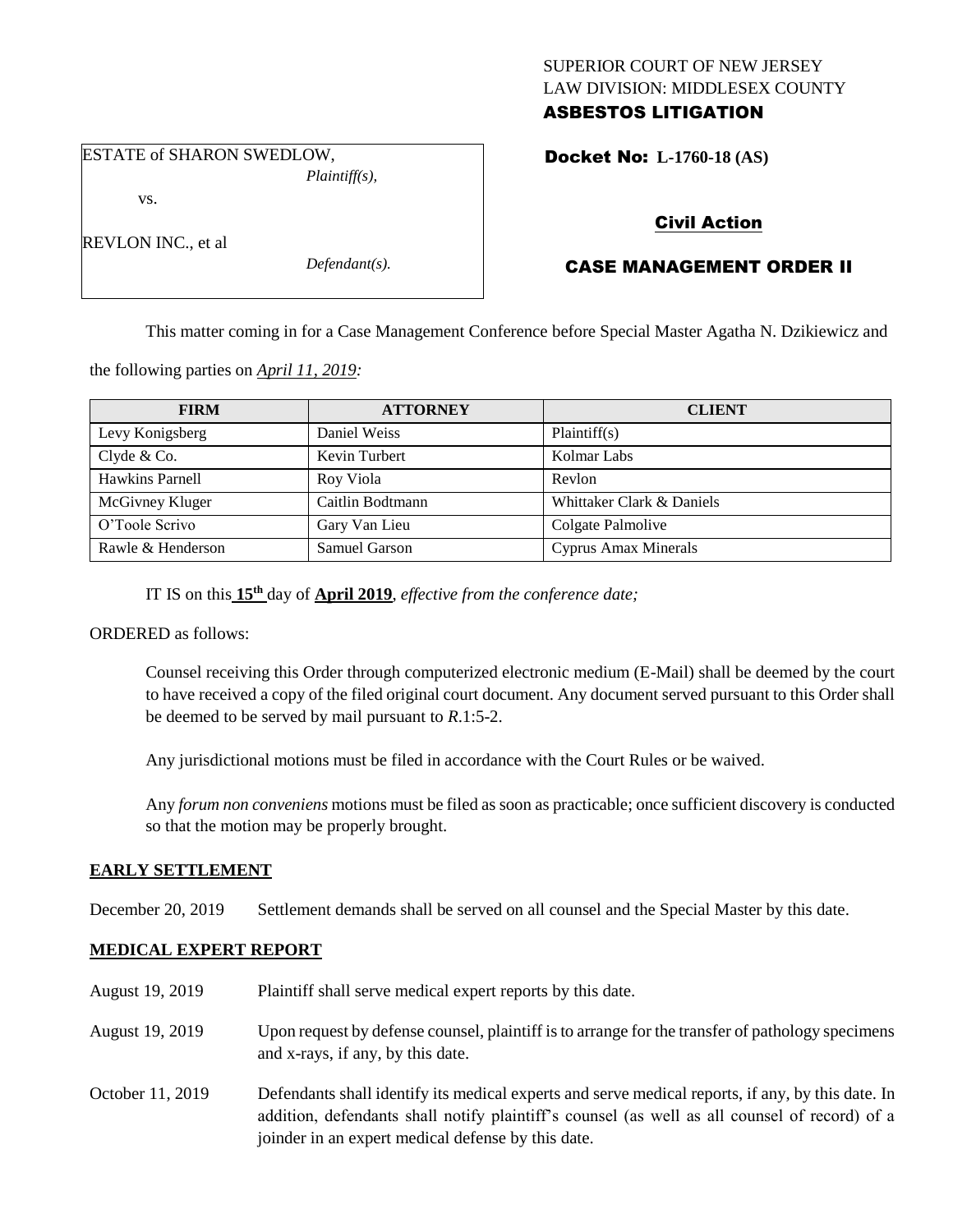### SUPERIOR COURT OF NEW JERSEY LAW DIVISION: MIDDLESEX COUNTY ASBESTOS LITIGATION

ESTATE of SHARON SWEDLOW, *Plaintiff(s),*

vs.

REVLON INC., et al

*Defendant(s).*

Docket No: **L-1760-18 (AS)** 

# Civil Action

# CASE MANAGEMENT ORDER II

This matter coming in for a Case Management Conference before Special Master Agatha N. Dzikiewicz and

the following parties on *April 11, 2019:*

| <b>FIRM</b>       | <b>ATTORNEY</b>  | <b>CLIENT</b>             |
|-------------------|------------------|---------------------------|
| Levy Konigsberg   | Daniel Weiss     | Plaintiff(s)              |
| Clyde $& Co.$     | Kevin Turbert    | Kolmar Labs               |
| Hawkins Parnell   | Roy Viola        | Revlon                    |
| McGivney Kluger   | Caitlin Bodtmann | Whittaker Clark & Daniels |
| O'Toole Scrivo    | Gary Van Lieu    | Colgate Palmolive         |
| Rawle & Henderson | Samuel Garson    | Cyprus Amax Minerals      |

IT IS on this **15th** day of **April 2019**, *effective from the conference date;*

ORDERED as follows:

Counsel receiving this Order through computerized electronic medium (E-Mail) shall be deemed by the court to have received a copy of the filed original court document. Any document served pursuant to this Order shall be deemed to be served by mail pursuant to *R*.1:5-2.

Any jurisdictional motions must be filed in accordance with the Court Rules or be waived.

Any *forum non conveniens* motions must be filed as soon as practicable; once sufficient discovery is conducted so that the motion may be properly brought.

### **EARLY SETTLEMENT**

December 20, 2019 Settlement demands shall be served on all counsel and the Special Master by this date.

## **MEDICAL EXPERT REPORT**

| August 19, 2019  | Plaintiff shall serve medical expert reports by this date.                                                                                                                                                                                               |
|------------------|----------------------------------------------------------------------------------------------------------------------------------------------------------------------------------------------------------------------------------------------------------|
| August 19, 2019  | Upon request by defense counsel, plaintiff is to arrange for the transfer of pathology specimens<br>and x-rays, if any, by this date.                                                                                                                    |
| October 11, 2019 | Defendants shall identify its medical experts and serve medical reports, if any, by this date. In<br>addition, defendants shall notify plaintiff's counsel (as well as all counsel of record) of a<br>joinder in an expert medical defense by this date. |